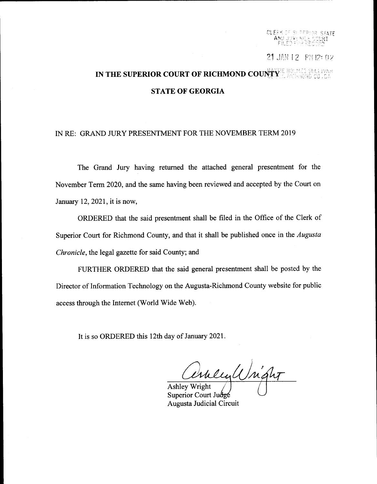CLERK OF SHPFPHOR STATE \*fi,-i:.1,' il, :'' -liil''

21 JAN 12 PM 12: 02

## IN THE SUPERIOR COURT OF RICHMOND COUNTY IE HOLMES SULLIVA STATE OF GEORGIA

## IN RE: GRAND JURY PRESENTMENT FOR THE NOVEMBER TERM 2019

The Grand Jury having retumed the attached general presentment for the November Term 2020, and the same having been reviewed and accepted by the Court on January 12,2021, it is now,

ORDERED that the said presentment shall be filed in the Office of the Clerk of Superior Court for Richmond County, and that it shall be published once in the *Augusta* Chronicle, the legal gazette for said County; and

FURTHER ORDERED that the said general presentment shall be posted by the Director of Information Technology on the Augusta-Richmond County website for public access through the Internet (World Wide Web).

It is so ORDERED this l2th day of January 2021.

Ashley Wright

Superior Court Judge Augusta Judicial Circuit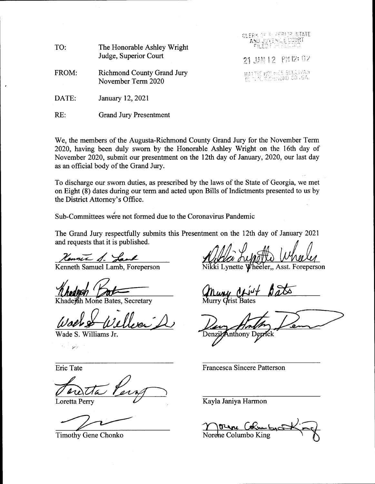| TO:   | The Honorable Ashley Wright<br>Judge, Superior Court    | CLERK OF SCREEDRISTATE<br>TAND JUVENLE COURT          |
|-------|---------------------------------------------------------|-------------------------------------------------------|
|       |                                                         | 21 JAN 12 PM 12: 02                                   |
| FROM: | <b>Richmond County Grand Jury</b><br>November Term 2020 | - HATTE MOLMES SULLIVAN<br>- CLITEK, RECHMOND CO , GA |
| DATE: | January 12, 2021                                        |                                                       |

RE: Grand Jury Presentment

We, the members of the Augusta-Richmond County Grand Jury for the November Term 2020, having been duly sworn by the Honorable Ashley Wright on the 16th day of November 2020, submit our presentment on the 12th day of January, 2020, our last day as an official body of the Grand Jury.

To discharge our sworn duties, as prescribed by the laws of the State of Georgia, we met on Eight (8) dates during our term and acted upon Bills of Indictments presented to us by the District Attorney's Office.

Sub-Committees were not formed due to the Coronavirus Pandemic

The Grand Jury respectfully submits this Presentment on the 12th day of January 2021 and requests that it is published.

Kenner S. La

Khadejah Mone Bates, Secretary

Wade S. Williams Jr.

لأحقق

Loretta Perry

Kenneth Samuel Lamb, Foreperson Nikki Lynette Wheeler,, Asst. Foreperson

*Crist Bates* 

nthony Deprick Denzi

Eric Tate Francesca Sincere Patterson

Kayla Janiya Harmon

Timothy Gene Chonko Norehe Columbo King